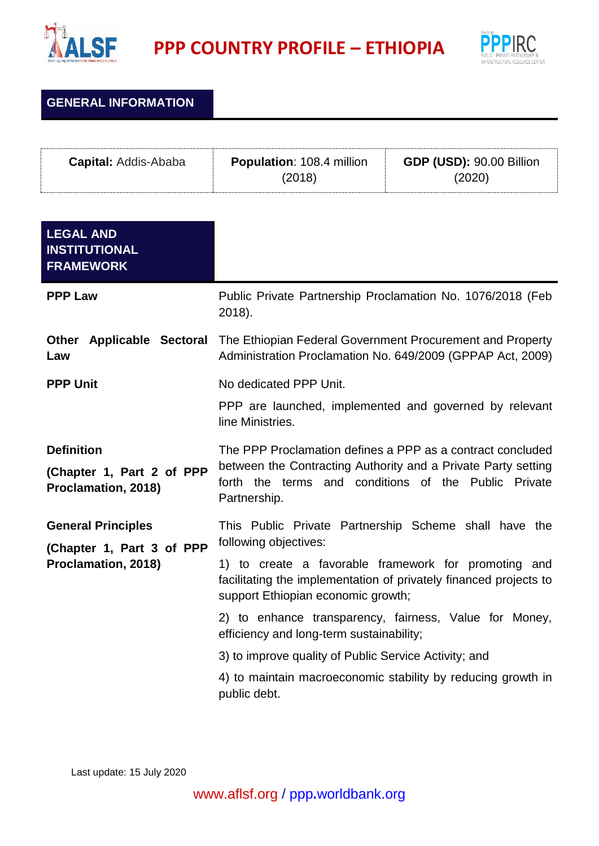

**PPP COUNTRY PROFILE – ETHIOPIA**



**GENERAL INFORMATION**

| <b>Capital:</b> Addis-Ababa | <b>Population: 108.4 million</b><br>(2018) | <b>GDP (USD): 90.00 Billion</b> |  |
|-----------------------------|--------------------------------------------|---------------------------------|--|
|                             |                                            |                                 |  |

| <b>LEGAL AND</b><br><b>INSTITUTIONAL</b><br><b>FRAMEWORK</b>          |                                                                                                                                                                                     |
|-----------------------------------------------------------------------|-------------------------------------------------------------------------------------------------------------------------------------------------------------------------------------|
| <b>PPP Law</b>                                                        | Public Private Partnership Proclamation No. 1076/2018 (Feb<br>2018).                                                                                                                |
| Law                                                                   | <b>Other Applicable Sectoral</b> The Ethiopian Federal Government Procurement and Property<br>Administration Proclamation No. 649/2009 (GPPAP Act, 2009)                            |
| <b>PPP Unit</b>                                                       | No dedicated PPP Unit.                                                                                                                                                              |
|                                                                       | PPP are launched, implemented and governed by relevant<br>line Ministries.                                                                                                          |
| <b>Definition</b><br>(Chapter 1, Part 2 of PPP<br>Proclamation, 2018) | The PPP Proclamation defines a PPP as a contract concluded<br>between the Contracting Authority and a Private Party setting<br>forth the terms and conditions of the Public Private |
|                                                                       | Partnership.                                                                                                                                                                        |
| <b>General Principles</b>                                             | This Public Private Partnership Scheme shall have the                                                                                                                               |
| (Chapter 1, Part 3 of PPP<br>Proclamation, 2018)                      | following objectives:                                                                                                                                                               |
|                                                                       | 1) to create a favorable framework for promoting and<br>facilitating the implementation of privately financed projects to<br>support Ethiopian economic growth;                     |
|                                                                       | 2) to enhance transparency, fairness, Value for Money,<br>efficiency and long-term sustainability;                                                                                  |
|                                                                       | 3) to improve quality of Public Service Activity; and                                                                                                                               |
|                                                                       | 4) to maintain macroeconomic stability by reducing growth in<br>public debt.                                                                                                        |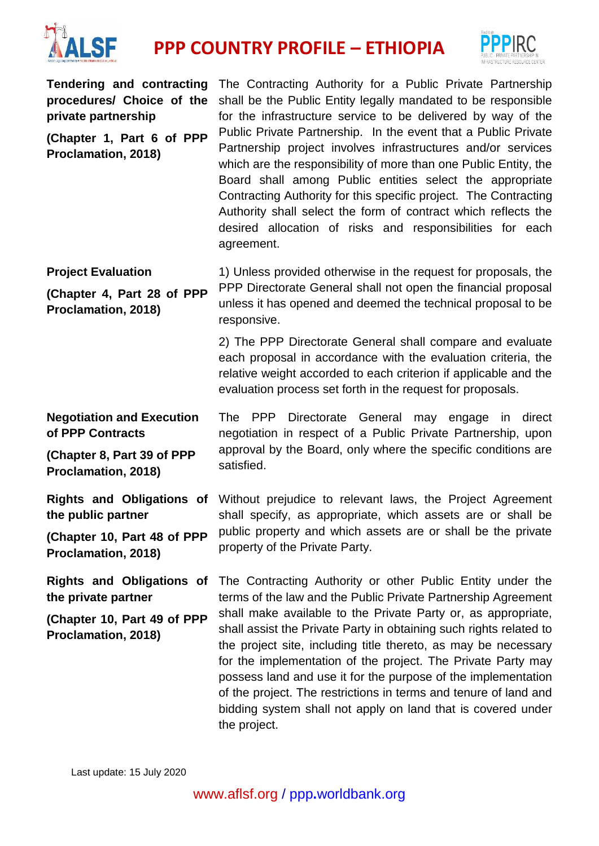

## **PPP COUNTRY PROFILE – ETHIOPIA**



**procedures/ Choice of the private partnership**

**(Chapter 1, Part 6 of PPP Proclamation, 2018)**

Tendering and contracting The Contracting Authority for a Public Private Partnership shall be the Public Entity legally mandated to be responsible for the infrastructure service to be delivered by way of the Public Private Partnership. In the event that a Public Private Partnership project involves infrastructures and/or services which are the responsibility of more than one Public Entity, the Board shall among Public entities select the appropriate Contracting Authority for this specific project. The Contracting Authority shall select the form of contract which reflects the desired allocation of risks and responsibilities for each agreement.

**Project Evaluation (Chapter 4, Part 28 of PPP Proclamation, 2018)** 1) Unless provided otherwise in the request for proposals, the PPP Directorate General shall not open the financial proposal unless it has opened and deemed the technical proposal to be responsive.

> 2) The PPP Directorate General shall compare and evaluate each proposal in accordance with the evaluation criteria, the relative weight accorded to each criterion if applicable and the evaluation process set forth in the request for proposals.

**Negotiation and Execution of PPP Contracts (Chapter 8, Part 39 of PPP Proclamation, 2018)** The PPP Directorate General may engage in direct negotiation in respect of a Public Private Partnership, upon approval by the Board, only where the specific conditions are satisfied.

**Rights and Obligations of**  Without prejudice to relevant laws, the Project Agreement **the public partner (Chapter 10, Part 48 of PPP Proclamation, 2018)** shall specify, as appropriate, which assets are or shall be public property and which assets are or shall be the private property of the Private Party.

**Rights and Obligations of the private partner (Chapter 10, Part 49 of PPP Proclamation, 2018)** The Contracting Authority or other Public Entity under the terms of the law and the Public Private Partnership Agreement shall make available to the Private Party or, as appropriate, shall assist the Private Party in obtaining such rights related to the project site, including title thereto, as may be necessary for the implementation of the project. The Private Party may possess land and use it for the purpose of the implementation of the project. The restrictions in terms and tenure of land and bidding system shall not apply on land that is covered under the project.

Last update: 15 July 2020